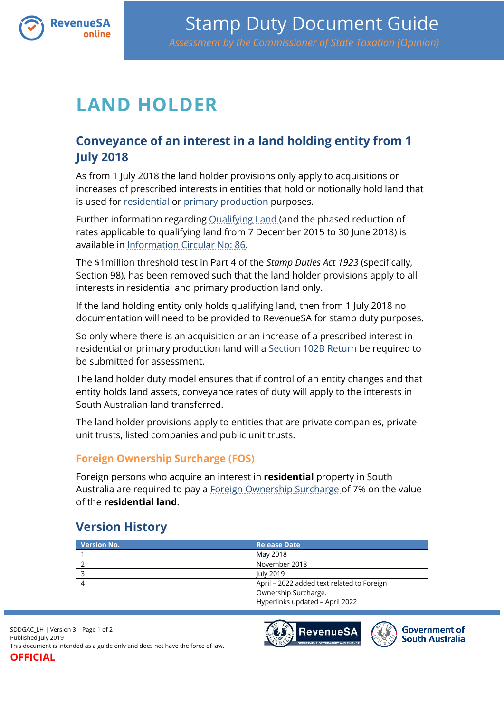

## **LAND HOLDER**

## **Conveyance of an interest in a land holding entity from 1 July 2018**

As from 1 July 2018 the land holder provisions only apply to acquisitions or increases of prescribed interests in entities that hold or notionally hold land that is used for [residential](https://www.revenuesa.sa.gov.au/stampduty/stamp-duty-document-guide#RR&PP) or [primary production](https://www.revenuesa.sa.gov.au/stampduty/stamp-duty-document-guide#RR&PP) purposes.

Further information regarding [Qualifying Land](https://www.revenuesa.sa.gov.au/stampduty/stamp-duty-document-guide#Qualifying) (and the phased reduction of rates applicable to qualifying land from 7 December 2015 to 30 June 2018) is available in [Information Circular No: 86.](https://www.revenuesa.sa.gov.au/forms-and-publications/information-circulars-and-revenue-rulings/information-circulars/ic_086)

The \$1million threshold test in Part 4 of the *Stamp Duties Act 1923* (specifically, Section 98), has been removed such that the land holder provisions apply to all interests in residential and primary production land only.

If the land holding entity only holds qualifying land, then from 1 July 2018 no documentation will need to be provided to RevenueSA for stamp duty purposes.

So only where there is an acquisition or an increase of a prescribed interest in residential or primary production land will a [Section 102B Return](https://www.revenuesa.sa.gov.au/__data/assets/pdf_file/0004/204538/SD_S102B_post1Jan18_1118.pdf) be required to be submitted for assessment.

The land holder duty model ensures that if control of an entity changes and that entity holds land assets, conveyance rates of duty will apply to the interests in South Australian land transferred.

The land holder provisions apply to entities that are private companies, private unit trusts, listed companies and public unit trusts.

## **Foreign Ownership Surcharge (FOS)**

Foreign persons who acquire an interest in **residential** property in South Australia are required to pay a [Foreign Ownership Surcharge](https://www.revenuesa.sa.gov.au/stampduty/stamp-duty-document-guide#FOS) of 7% on the value of the **residential land**.

## **Version History**

| <b>Version No.</b> | <b>Release Date</b>                        |
|--------------------|--------------------------------------------|
|                    | May 2018                                   |
|                    | November 2018                              |
|                    | <b>July 2019</b>                           |
|                    | April - 2022 added text related to Foreign |
|                    | Ownership Surcharge.                       |
|                    | Hyperlinks updated - April 2022            |

SDDGAC\_LH | Version 3 | Page 1 of 2 Published July 2019 This document is intended as a guide only and does not have the force of law. **OFFICIAL**